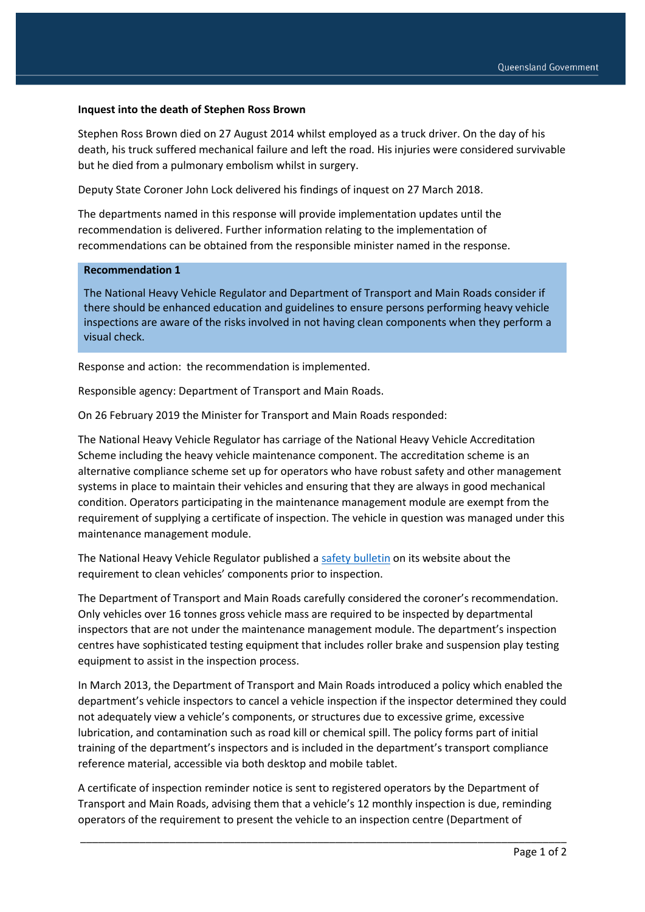### **Inquest into the death of Stephen Ross Brown**

Stephen Ross Brown died on 27 August 2014 whilst employed as a truck driver. On the day of his death, his truck suffered mechanical failure and left the road. His injuries were considered survivable but he died from a pulmonary embolism whilst in surgery.

Deputy State Coroner John Lock delivered his findings of inquest on 27 March 2018.

The departments named in this response will provide implementation updates until the recommendation is delivered. Further information relating to the implementation of recommendations can be obtained from the responsible minister named in the response.

#### **Recommendation 1**

The National Heavy Vehicle Regulator and Department of Transport and Main Roads consider if there should be enhanced education and guidelines to ensure persons performing heavy vehicle inspections are aware of the risks involved in not having clean components when they perform a visual check.

Response and action: the recommendation is implemented.

Responsible agency: Department of Transport and Main Roads.

On 26 February 2019 the Minister for Transport and Main Roads responded:

The National Heavy Vehicle Regulator has carriage of the National Heavy Vehicle Accreditation Scheme including the heavy vehicle maintenance component. The accreditation scheme is an alternative compliance scheme set up for operators who have robust safety and other management systems in place to maintain their vehicles and ensuring that they are always in good mechanical condition. Operators participating in the maintenance management module are exempt from the requirement of supplying a certificate of inspection. The vehicle in question was managed under this maintenance management module.

The National Heavy Vehicle Regulator published [a safety bulletin](https://www.nhvr.gov.au/safety-accreditation-compliance/safety-alerts-and-bulletins) on its website about the requirement to clean vehicles' components prior to inspection.

The Department of Transport and Main Roads carefully considered the coroner's recommendation. Only vehicles over 16 tonnes gross vehicle mass are required to be inspected by departmental inspectors that are not under the maintenance management module. The department's inspection centres have sophisticated testing equipment that includes roller brake and suspension play testing equipment to assist in the inspection process.

In March 2013, the Department of Transport and Main Roads introduced a policy which enabled the department's vehicle inspectors to cancel a vehicle inspection if the inspector determined they could not adequately view a vehicle's components, or structures due to excessive grime, excessive lubrication, and contamination such as road kill or chemical spill. The policy forms part of initial training of the department's inspectors and is included in the department's transport compliance reference material, accessible via both desktop and mobile tablet.

A certificate of inspection reminder notice is sent to registered operators by the Department of Transport and Main Roads, advising them that a vehicle's 12 monthly inspection is due, reminding operators of the requirement to present the vehicle to an inspection centre (Department of

\_\_\_\_\_\_\_\_\_\_\_\_\_\_\_\_\_\_\_\_\_\_\_\_\_\_\_\_\_\_\_\_\_\_\_\_\_\_\_\_\_\_\_\_\_\_\_\_\_\_\_\_\_\_\_\_\_\_\_\_\_\_\_\_\_\_\_\_\_\_\_\_\_\_\_\_\_\_\_\_\_\_